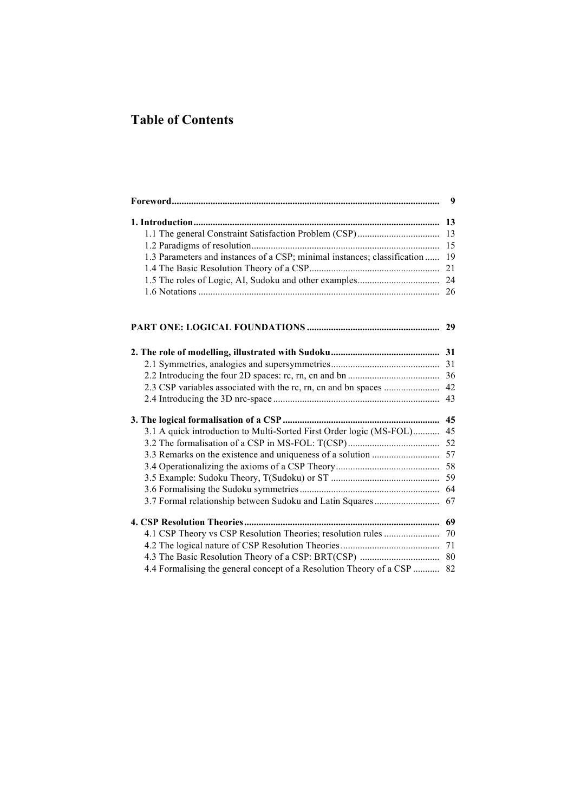## **Table of Contents**

|                                                                          | 9  |
|--------------------------------------------------------------------------|----|
|                                                                          |    |
|                                                                          | 13 |
|                                                                          | 15 |
| 1.3 Parameters and instances of a CSP; minimal instances; classification | 19 |
|                                                                          | 21 |
|                                                                          |    |
|                                                                          | 26 |
|                                                                          | 29 |
|                                                                          |    |
|                                                                          |    |
|                                                                          |    |
|                                                                          |    |
|                                                                          |    |
|                                                                          |    |
| 3.1 A quick introduction to Multi-Sorted First Order logic (MS-FOL)      | 45 |
|                                                                          | 52 |
|                                                                          |    |
|                                                                          |    |
|                                                                          |    |
|                                                                          |    |
| 3.7 Formal relationship between Sudoku and Latin Squares                 | 67 |
|                                                                          |    |
|                                                                          |    |
|                                                                          |    |
|                                                                          | 80 |
| 4.4 Formalising the general concept of a Resolution Theory of a CSP  82  |    |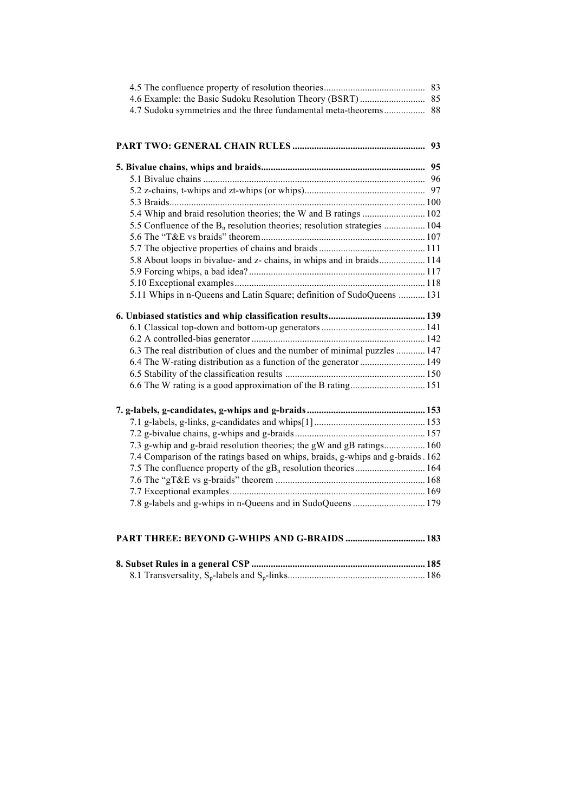| 4.7 Sudoku symmetries and the three fundamental meta-theorems 88                     |  |
|--------------------------------------------------------------------------------------|--|
|                                                                                      |  |
|                                                                                      |  |
|                                                                                      |  |
|                                                                                      |  |
|                                                                                      |  |
|                                                                                      |  |
|                                                                                      |  |
| 5.4 Whip and braid resolution theories; the W and B ratings  102                     |  |
| 5.5 Confluence of the B <sub>n</sub> resolution theories; resolution strategies  104 |  |
|                                                                                      |  |
|                                                                                      |  |
| 5.8 About loops in bivalue- and z- chains, in whips and in braids 114                |  |
|                                                                                      |  |
|                                                                                      |  |
| 5.11 Whips in n-Queens and Latin Square; definition of SudoQueens  131               |  |
|                                                                                      |  |
|                                                                                      |  |
|                                                                                      |  |
| 6.3 The real distribution of clues and the number of minimal puzzles  147            |  |
| 6.4 The W-rating distribution as a function of the generator  149                    |  |
|                                                                                      |  |
|                                                                                      |  |
|                                                                                      |  |
|                                                                                      |  |
|                                                                                      |  |
|                                                                                      |  |
| 7.3 g-whip and g-braid resolution theories; the gW and gB ratings 160                |  |
| 7.4 Comparison of the ratings based on whips, braids, g-whips and g-braids. 162      |  |
| 7.5 The confluence property of the gB <sub>n</sub> resolution theories 164           |  |
|                                                                                      |  |
|                                                                                      |  |
|                                                                                      |  |
|                                                                                      |  |
|                                                                                      |  |
|                                                                                      |  |